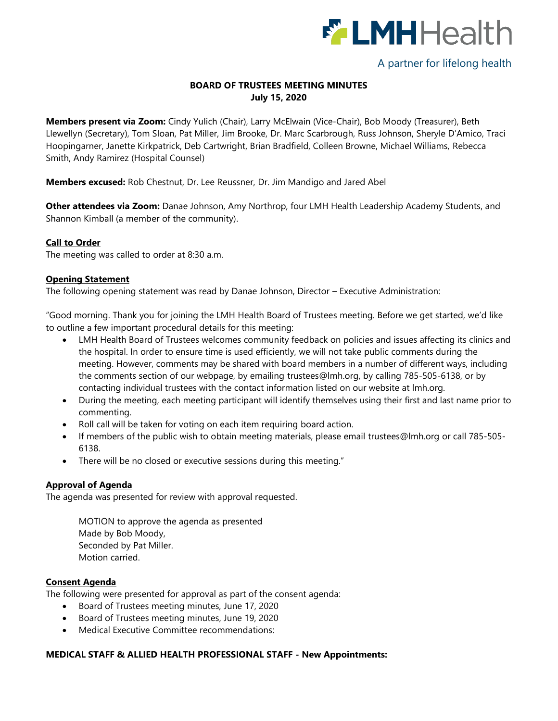

# A partner for lifelong health

## **BOARD OF TRUSTEES MEETING MINUTES July 15, 2020**

**Members present via Zoom:** Cindy Yulich (Chair), Larry McElwain (Vice-Chair), Bob Moody (Treasurer), Beth Llewellyn (Secretary), Tom Sloan, Pat Miller, Jim Brooke, Dr. Marc Scarbrough, Russ Johnson, Sheryle D'Amico, Traci Hoopingarner, Janette Kirkpatrick, Deb Cartwright, Brian Bradfield, Colleen Browne, Michael Williams, Rebecca Smith, Andy Ramirez (Hospital Counsel)

**Members excused:** Rob Chestnut, Dr. Lee Reussner, Dr. Jim Mandigo and Jared Abel

**Other attendees via Zoom:** Danae Johnson, Amy Northrop, four LMH Health Leadership Academy Students, and Shannon Kimball (a member of the community).

### **Call to Order**

The meeting was called to order at 8:30 a.m.

### **Opening Statement**

The following opening statement was read by Danae Johnson, Director – Executive Administration:

"Good morning. Thank you for joining the LMH Health Board of Trustees meeting. Before we get started, we'd like to outline a few important procedural details for this meeting:

- LMH Health Board of Trustees welcomes community feedback on policies and issues affecting its clinics and the hospital. In order to ensure time is used efficiently, we will not take public comments during the meeting. However, comments may be shared with board members in a number of different ways, including the comments section of our webpage, by emailing [trustees@lmh.org,](mailto:trustees@lmh.org) by calling 785-505-6138, or by contacting individual trustees with the contact information listed on our website at lmh.org.
- During the meeting, each meeting participant will identify themselves using their first and last name prior to commenting.
- Roll call will be taken for voting on each item requiring board action.
- If members of the public wish to obtain meeting materials, please email [trustees@lmh.org](mailto:trustees@lmh.org) or call 785-505- 6138.
- There will be no closed or executive sessions during this meeting."

### **Approval of Agenda**

The agenda was presented for review with approval requested.

MOTION to approve the agenda as presented Made by Bob Moody, Seconded by Pat Miller. Motion carried.

#### **Consent Agenda**

The following were presented for approval as part of the consent agenda:

- Board of Trustees meeting minutes, June 17, 2020
- Board of Trustees meeting minutes, June 19, 2020
- Medical Executive Committee recommendations:

### **MEDICAL STAFF & ALLIED HEALTH PROFESSIONAL STAFF - New Appointments:**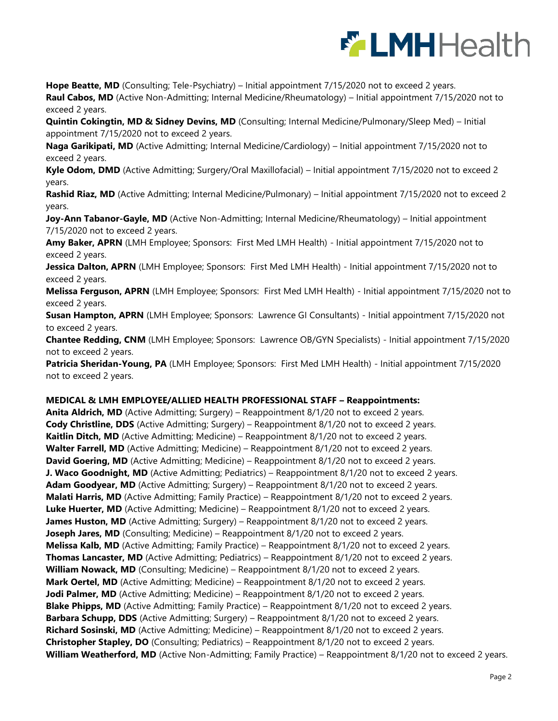

**Hope Beatte, MD** (Consulting; Tele-Psychiatry) – Initial appointment 7/15/2020 not to exceed 2 years. **Raul Cabos, MD** (Active Non-Admitting; Internal Medicine/Rheumatology) – Initial appointment 7/15/2020 not to exceed 2 years.

**Quintin Cokingtin, MD & Sidney Devins, MD** (Consulting; Internal Medicine/Pulmonary/Sleep Med) – Initial appointment 7/15/2020 not to exceed 2 years.

**Naga Garikipati, MD** (Active Admitting; Internal Medicine/Cardiology) – Initial appointment 7/15/2020 not to exceed 2 years.

**Kyle Odom, DMD** (Active Admitting; Surgery/Oral Maxillofacial) – Initial appointment 7/15/2020 not to exceed 2 years.

**Rashid Riaz, MD** (Active Admitting; Internal Medicine/Pulmonary) – Initial appointment 7/15/2020 not to exceed 2 years.

**Joy-Ann Tabanor-Gayle, MD** (Active Non-Admitting; Internal Medicine/Rheumatology) – Initial appointment 7/15/2020 not to exceed 2 years.

**Amy Baker, APRN** (LMH Employee; Sponsors: First Med LMH Health) - Initial appointment 7/15/2020 not to exceed 2 years.

**Jessica Dalton, APRN** (LMH Employee; Sponsors: First Med LMH Health) - Initial appointment 7/15/2020 not to exceed 2 years.

**Melissa Ferguson, APRN** (LMH Employee; Sponsors: First Med LMH Health) - Initial appointment 7/15/2020 not to exceed 2 years.

**Susan Hampton, APRN** (LMH Employee; Sponsors: Lawrence GI Consultants) - Initial appointment 7/15/2020 not to exceed 2 years.

**Chantee Redding, CNM** (LMH Employee; Sponsors: Lawrence OB/GYN Specialists) - Initial appointment 7/15/2020 not to exceed 2 years.

**Patricia Sheridan-Young, PA** (LMH Employee; Sponsors: First Med LMH Health) - Initial appointment 7/15/2020 not to exceed 2 years.

#### **MEDICAL & LMH EMPLOYEE/ALLIED HEALTH PROFESSIONAL STAFF – Reappointments:**

**Anita Aldrich, MD** (Active Admitting; Surgery) – Reappointment 8/1/20 not to exceed 2 years. **Cody Christline, DDS** (Active Admitting; Surgery) – Reappointment 8/1/20 not to exceed 2 years. **Kaitlin Ditch, MD** (Active Admitting; Medicine) – Reappointment 8/1/20 not to exceed 2 years. **Walter Farrell, MD** (Active Admitting; Medicine) – Reappointment 8/1/20 not to exceed 2 years. **David Goering, MD** (Active Admitting; Medicine) – Reappointment 8/1/20 not to exceed 2 years. **J. Waco Goodnight, MD** (Active Admitting; Pediatrics) – Reappointment 8/1/20 not to exceed 2 years. Adam Goodyear, MD (Active Admitting; Surgery) – Reappointment 8/1/20 not to exceed 2 years. **Malati Harris, MD** (Active Admitting; Family Practice) – Reappointment 8/1/20 not to exceed 2 years. **Luke Huerter, MD** (Active Admitting; Medicine) – Reappointment 8/1/20 not to exceed 2 years. **James Huston, MD** (Active Admitting; Surgery) – Reappointment 8/1/20 not to exceed 2 years. **Joseph Jares, MD** (Consulting; Medicine) – Reappointment 8/1/20 not to exceed 2 years. **Melissa Kalb, MD** (Active Admitting; Family Practice) – Reappointment 8/1/20 not to exceed 2 years. **Thomas Lancaster, MD** (Active Admitting; Pediatrics) – Reappointment 8/1/20 not to exceed 2 years. **William Nowack, MD** (Consulting; Medicine) – Reappointment 8/1/20 not to exceed 2 years. **Mark Oertel, MD** (Active Admitting; Medicine) – Reappointment 8/1/20 not to exceed 2 years. **Jodi Palmer, MD** (Active Admitting; Medicine) – Reappointment 8/1/20 not to exceed 2 years. **Blake Phipps, MD** (Active Admitting; Family Practice) – Reappointment 8/1/20 not to exceed 2 years. **Barbara Schupp, DDS** (Active Admitting; Surgery) – Reappointment 8/1/20 not to exceed 2 years. Richard Sosinski, MD (Active Admitting; Medicine) – Reappointment 8/1/20 not to exceed 2 years. **Christopher Stapley, DO** (Consulting; Pediatrics) – Reappointment 8/1/20 not to exceed 2 years. **William Weatherford, MD** (Active Non-Admitting; Family Practice) – Reappointment 8/1/20 not to exceed 2 years.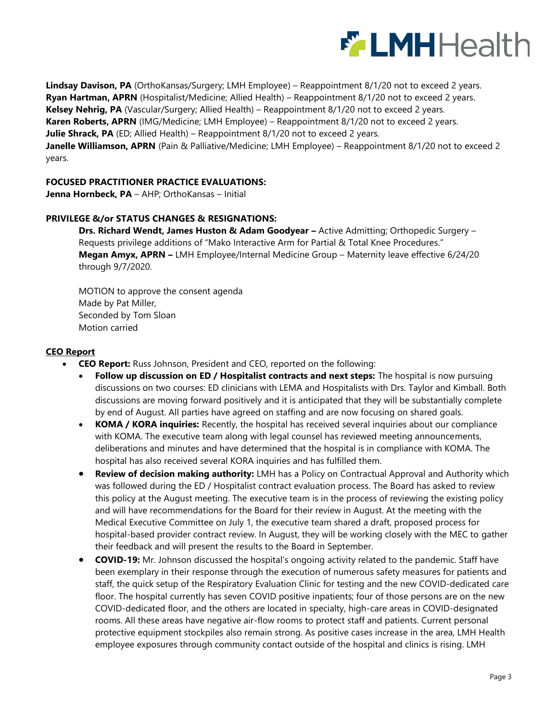

**Lindsay Davison, PA** (OrthoKansas/Surgery; LMH Employee) – Reappointment 8/1/20 not to exceed 2 years. **Ryan Hartman, APRN** (Hospitalist/Medicine; Allied Health) – Reappointment 8/1/20 not to exceed 2 years. **Kelsey Nehrig, PA** (Vascular/Surgery; Allied Health) – Reappointment 8/1/20 not to exceed 2 years. **Karen Roberts, APRN** (IMG/Medicine; LMH Employee) – Reappointment 8/1/20 not to exceed 2 years. **Julie Shrack, PA** (ED; Allied Health) – Reappointment 8/1/20 not to exceed 2 years. **Janelle Williamson, APRN** (Pain & Palliative/Medicine; LMH Employee) – Reappointment 8/1/20 not to exceed 2 years.

### **FOCUSED PRACTITIONER PRACTICE EVALUATIONS:**

**Jenna Hornbeck, PA** – AHP; OrthoKansas – Initial

### **PRIVILEGE &/or STATUS CHANGES & RESIGNATIONS:**

**Drs. Richard Wendt, James Huston & Adam Goodyear –** Active Admitting; Orthopedic Surgery – Requests privilege additions of "Mako Interactive Arm for Partial & Total Knee Procedures." **Megan Amyx, APRN –** LMH Employee/Internal Medicine Group – Maternity leave effective 6/24/20 through 9/7/2020.

MOTION to approve the consent agenda Made by Pat Miller, Seconded by Tom Sloan Motion carried

### **CEO Report**

- **CEO Report:** Russ Johnson, President and CEO, reported on the following:
	- **Follow up discussion on ED / Hospitalist contracts and next steps:** The hospital is now pursuing discussions on two courses: ED clinicians with LEMA and Hospitalists with Drs. Taylor and Kimball. Both discussions are moving forward positively and it is anticipated that they will be substantially complete by end of August. All parties have agreed on staffing and are now focusing on shared goals.
	- **KOMA / KORA inquiries:** Recently, the hospital has received several inquiries about our compliance with KOMA. The executive team along with legal counsel has reviewed meeting announcements, deliberations and minutes and have determined that the hospital is in compliance with KOMA. The hospital has also received several KORA inquiries and has fulfilled them.
	- **Review of decision making authority:** LMH has a Policy on Contractual Approval and Authority which was followed during the ED / Hospitalist contract evaluation process. The Board has asked to review this policy at the August meeting. The executive team is in the process of reviewing the existing policy and will have recommendations for the Board for their review in August. At the meeting with the Medical Executive Committee on July 1, the executive team shared a draft, proposed process for hospital-based provider contract review. In August, they will be working closely with the MEC to gather their feedback and will present the results to the Board in September.
	- **COVID-19:** Mr. Johnson discussed the hospital's ongoing activity related to the pandemic. Staff have been exemplary in their response through the execution of numerous safety measures for patients and staff, the quick setup of the Respiratory Evaluation Clinic for testing and the new COVID-dedicated care floor. The hospital currently has seven COVID positive inpatients; four of those persons are on the new COVID-dedicated floor, and the others are located in specialty, high-care areas in COVID-designated rooms. All these areas have negative air-flow rooms to protect staff and patients. Current personal protective equipment stockpiles also remain strong. As positive cases increase in the area, LMH Health employee exposures through community contact outside of the hospital and clinics is rising. LMH